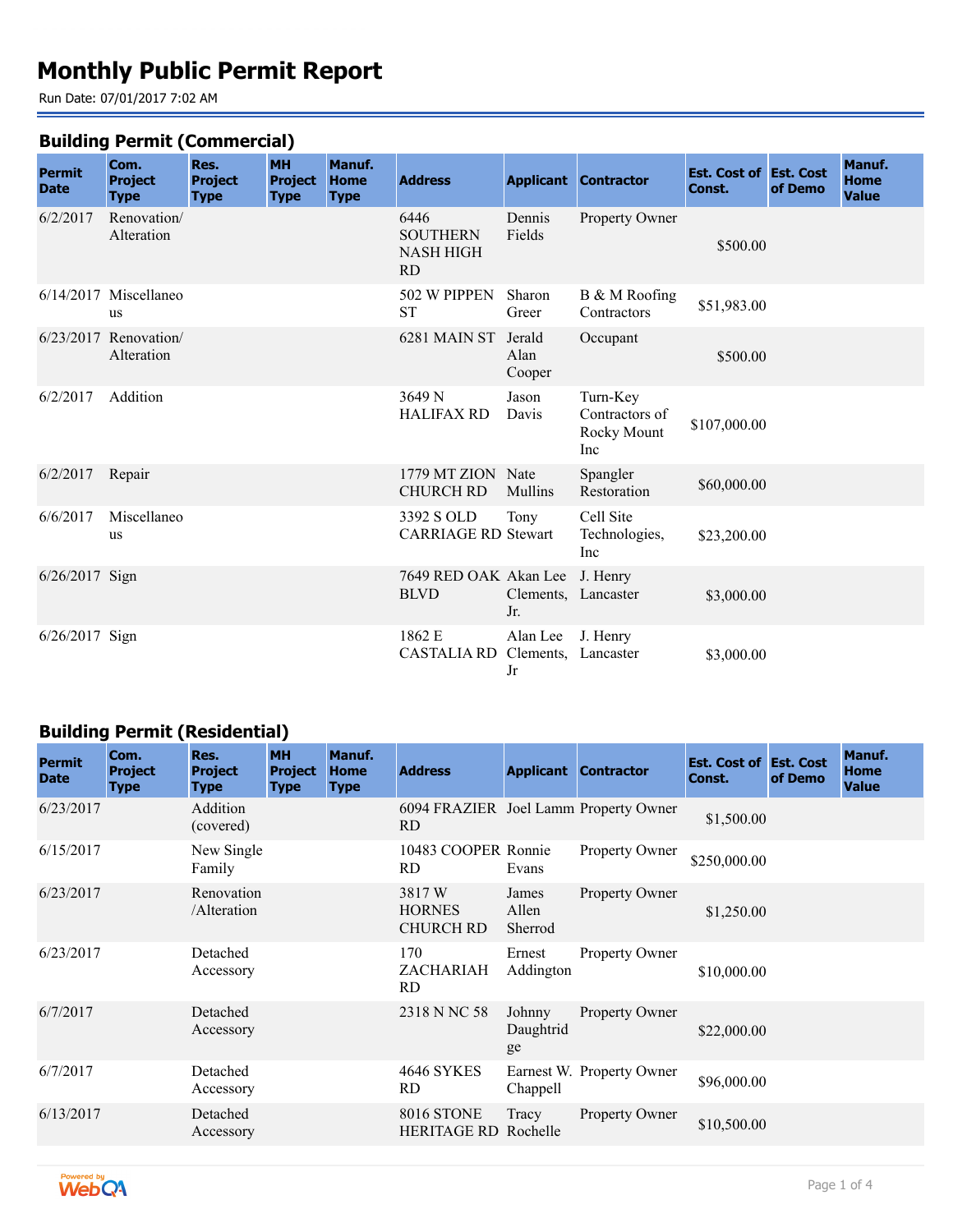# **Monthly Public Permit Report**

Run Date: 07/01/2017 7:02 AM

#### **Building Permit (Commercial)**

| <b>Permit</b><br><b>Date</b> | Com.<br><b>Project</b><br><b>Type</b> | Res.<br><b>Project</b><br><b>Type</b> | <b>MH</b><br><b>Project</b><br><b>Type</b> | Manuf.<br>Home<br><b>Type</b> | <b>Address</b>                                           |                                       | <b>Applicant Contractor</b>                      | <b>Est. Cost of Est. Cost</b><br>Const. | of Demo | Manuf.<br><b>Home</b><br><b>Value</b> |
|------------------------------|---------------------------------------|---------------------------------------|--------------------------------------------|-------------------------------|----------------------------------------------------------|---------------------------------------|--------------------------------------------------|-----------------------------------------|---------|---------------------------------------|
| 6/2/2017                     | Renovation/<br>Alteration             |                                       |                                            |                               | 6446<br><b>SOUTHERN</b><br><b>NASH HIGH</b><br><b>RD</b> | Dennis<br>Fields                      | Property Owner                                   | \$500.00                                |         |                                       |
|                              | $6/14/2017$ Miscellaneo<br>us         |                                       |                                            |                               | 502 W PIPPEN<br><b>ST</b>                                | Sharon<br>Greer                       | B & M Roofing<br>Contractors                     | \$51,983.00                             |         |                                       |
|                              | $6/23/2017$ Renovation/<br>Alteration |                                       |                                            |                               | 6281 MAIN ST                                             | Jerald<br>Alan<br>Cooper              | Occupant                                         | \$500.00                                |         |                                       |
| 6/2/2017                     | Addition                              |                                       |                                            |                               | 3649 N<br><b>HALIFAX RD</b>                              | Jason<br>Davis                        | Turn-Key<br>Contractors of<br>Rocky Mount<br>Inc | \$107,000.00                            |         |                                       |
| 6/2/2017                     | Repair                                |                                       |                                            |                               | 1779 MT ZION Nate<br><b>CHURCH RD</b>                    | Mullins                               | Spangler<br>Restoration                          | \$60,000.00                             |         |                                       |
| 6/6/2017                     | Miscellaneo<br>us                     |                                       |                                            |                               | 3392 S OLD<br><b>CARRIAGE RD Stewart</b>                 | Tony                                  | Cell Site<br>Technologies,<br>Inc                | \$23,200.00                             |         |                                       |
| 6/26/2017 Sign               |                                       |                                       |                                            |                               | 7649 RED OAK Akan Lee<br><b>BLVD</b>                     | Clements, Lancaster<br>Jr.            | J. Henry                                         | \$3,000.00                              |         |                                       |
| 6/26/2017 Sign               |                                       |                                       |                                            |                               | 1862 E<br><b>CASTALIA RD</b>                             | Alan Lee<br>Clements, Lancaster<br>Jr | J. Henry                                         | \$3,000.00                              |         |                                       |

## **Building Permit (Residential)**

| <b>Permit</b><br><b>Date</b> | Com.<br><b>Project</b><br><b>Type</b> | Res.<br><b>Project</b><br><b>Type</b> | <b>MH</b><br><b>Project</b><br><b>Type</b> | Manuf.<br><b>Home</b><br><b>Type</b> | <b>Address</b>                               |                           | <b>Applicant Contractor</b> | <b>Est. Cost of Est. Cost</b><br>Const. | of Demo | Manuf.<br><b>Home</b><br><b>Value</b> |
|------------------------------|---------------------------------------|---------------------------------------|--------------------------------------------|--------------------------------------|----------------------------------------------|---------------------------|-----------------------------|-----------------------------------------|---------|---------------------------------------|
| 6/23/2017                    |                                       | Addition<br>(covered)                 |                                            |                                      | 6094 FRAZIER Joel Lamm Property Owner<br>RD. |                           |                             | \$1,500.00                              |         |                                       |
| 6/15/2017                    |                                       | New Single<br>Family                  |                                            |                                      | 10483 COOPER Ronnie<br>RD.                   | Evans                     | Property Owner              | \$250,000.00                            |         |                                       |
| 6/23/2017                    |                                       | Renovation<br>/Alteration             |                                            |                                      | 3817W<br><b>HORNES</b><br><b>CHURCH RD</b>   | James<br>Allen<br>Sherrod | Property Owner              | \$1,250.00                              |         |                                       |
| 6/23/2017                    |                                       | Detached<br>Accessory                 |                                            |                                      | 170<br>ZACHARIAH<br>RD.                      | Ernest<br>Addington       | Property Owner              | \$10,000.00                             |         |                                       |
| 6/7/2017                     |                                       | Detached<br>Accessory                 |                                            |                                      | 2318 N NC 58                                 | Johnny<br>Daughtrid<br>ge | Property Owner              | \$22,000.00                             |         |                                       |
| 6/7/2017                     |                                       | Detached<br>Accessory                 |                                            |                                      | <b>4646 SYKES</b><br>RD.                     | Chappell                  | Earnest W. Property Owner   | \$96,000.00                             |         |                                       |
| 6/13/2017                    |                                       | Detached<br>Accessory                 |                                            |                                      | 8016 STONE<br><b>HERITAGE RD Rochelle</b>    | Tracy                     | <b>Property Owner</b>       | \$10,500.00                             |         |                                       |

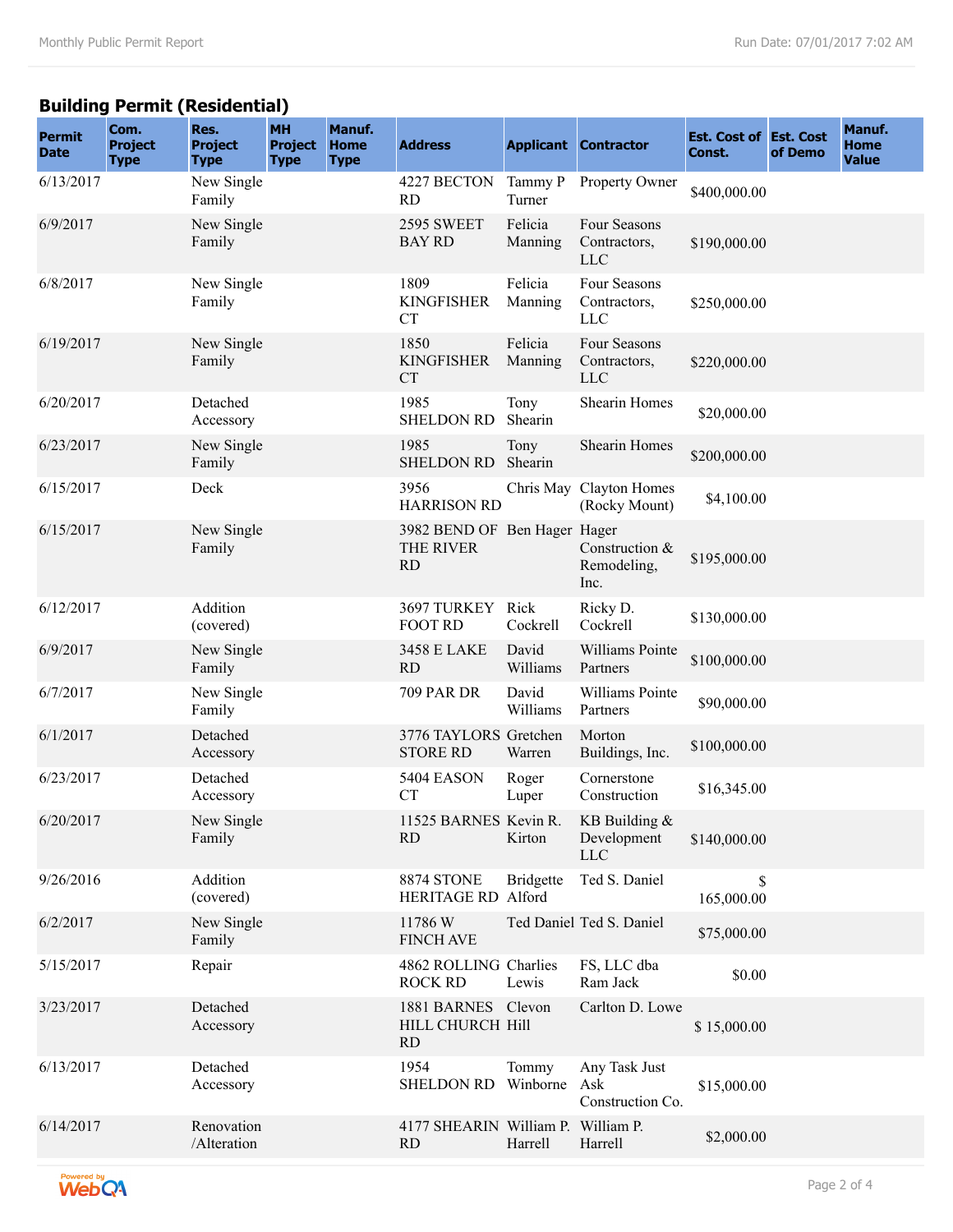## **Building Permit (Residential)**

| <b>Permit</b><br><b>Date</b> | Com.<br><b>Project</b><br><b>Type</b> | Res.<br><b>Project</b><br><b>Type</b> | <b>MH</b><br><b>Project</b><br><b>Type</b> | Manuf.<br><b>Home</b><br><b>Type</b> | <b>Address</b>                                         |                    | <b>Applicant Contractor</b>                | <b>Est. Cost of Est. Cost</b><br>Const. | of Demo | Manuf.<br><b>Home</b><br><b>Value</b> |
|------------------------------|---------------------------------------|---------------------------------------|--------------------------------------------|--------------------------------------|--------------------------------------------------------|--------------------|--------------------------------------------|-----------------------------------------|---------|---------------------------------------|
| 6/13/2017                    |                                       | New Single<br>Family                  |                                            |                                      | 4227 BECTON<br><b>RD</b>                               | Tammy P<br>Turner  | Property Owner                             | \$400,000.00                            |         |                                       |
| 6/9/2017                     |                                       | New Single<br>Family                  |                                            |                                      | 2595 SWEET<br><b>BAY RD</b>                            | Felicia<br>Manning | Four Seasons<br>Contractors,<br><b>LLC</b> | \$190,000.00                            |         |                                       |
| 6/8/2017                     |                                       | New Single<br>Family                  |                                            |                                      | 1809<br><b>KINGFISHER</b><br><b>CT</b>                 | Felicia<br>Manning | Four Seasons<br>Contractors,<br><b>LLC</b> | \$250,000.00                            |         |                                       |
| 6/19/2017                    |                                       | New Single<br>Family                  |                                            |                                      | 1850<br><b>KINGFISHER</b><br><b>CT</b>                 | Felicia<br>Manning | Four Seasons<br>Contractors,<br><b>LLC</b> | \$220,000.00                            |         |                                       |
| 6/20/2017                    |                                       | Detached<br>Accessory                 |                                            |                                      | 1985<br><b>SHELDON RD</b>                              | Tony<br>Shearin    | Shearin Homes                              | \$20,000.00                             |         |                                       |
| 6/23/2017                    |                                       | New Single<br>Family                  |                                            |                                      | 1985<br><b>SHELDON RD</b>                              | Tony<br>Shearin    | Shearin Homes                              | \$200,000.00                            |         |                                       |
| 6/15/2017                    |                                       | Deck                                  |                                            |                                      | 3956<br><b>HARRISON RD</b>                             |                    | Chris May Clayton Homes<br>(Rocky Mount)   | \$4,100.00                              |         |                                       |
| 6/15/2017                    |                                       | New Single<br>Family                  |                                            |                                      | 3982 BEND OF Ben Hager Hager<br>THE RIVER<br><b>RD</b> |                    | Construction &<br>Remodeling,<br>Inc.      | \$195,000.00                            |         |                                       |
| 6/12/2017                    |                                       | Addition<br>(covered)                 |                                            |                                      | 3697 TURKEY Rick<br><b>FOOT RD</b>                     | Cockrell           | Ricky D.<br>Cockrell                       | \$130,000.00                            |         |                                       |
| 6/9/2017                     |                                       | New Single<br>Family                  |                                            |                                      | 3458 E LAKE<br><b>RD</b>                               | David<br>Williams  | Williams Pointe<br>Partners                | \$100,000.00                            |         |                                       |
| 6/7/2017                     |                                       | New Single<br>Family                  |                                            |                                      | <b>709 PAR DR</b>                                      | David<br>Williams  | Williams Pointe<br>Partners                | \$90,000.00                             |         |                                       |
| 6/1/2017                     |                                       | Detached<br>Accessory                 |                                            |                                      | 3776 TAYLORS Gretchen<br><b>STORE RD</b>               | Warren             | Morton<br>Buildings, Inc.                  | \$100,000.00                            |         |                                       |
| 6/23/2017                    |                                       | Detached<br>Accessory                 |                                            |                                      | 5404 EASON<br><b>CT</b>                                | Roger<br>Luper     | Cornerstone<br>Construction                | \$16,345.00                             |         |                                       |
| 6/20/2017                    |                                       | New Single<br>Family                  |                                            |                                      | 11525 BARNES Kevin R.<br><b>RD</b>                     | Kirton             | KB Building &<br>Development<br><b>LLC</b> | \$140,000.00                            |         |                                       |
| 9/26/2016                    |                                       | Addition<br>(covered)                 |                                            |                                      | 8874 STONE<br>HERITAGE RD Alford                       | <b>Bridgette</b>   | Ted S. Daniel                              | \$<br>165,000.00                        |         |                                       |
| 6/2/2017                     |                                       | New Single<br>Family                  |                                            |                                      | 11786W<br><b>FINCH AVE</b>                             |                    | Ted Daniel Ted S. Daniel                   | \$75,000.00                             |         |                                       |
| 5/15/2017                    |                                       | Repair                                |                                            |                                      | 4862 ROLLING Charlies<br><b>ROCK RD</b>                | Lewis              | FS, LLC dba<br>Ram Jack                    | \$0.00                                  |         |                                       |
| 3/23/2017                    |                                       | Detached<br>Accessory                 |                                            |                                      | 1881 BARNES Clevon<br>HILL CHURCH Hill<br>RD           |                    | Carlton D. Lowe                            | \$15,000.00                             |         |                                       |
| 6/13/2017                    |                                       | Detached<br>Accessory                 |                                            |                                      | 1954<br><b>SHELDON RD</b>                              | Tommy<br>Winborne  | Any Task Just<br>Ask<br>Construction Co.   | \$15,000.00                             |         |                                       |
| 6/14/2017                    |                                       | Renovation<br>/Alteration             |                                            |                                      | 4177 SHEARIN William P. William P.<br><b>RD</b>        | Harrell            | Harrell                                    | \$2,000.00                              |         |                                       |

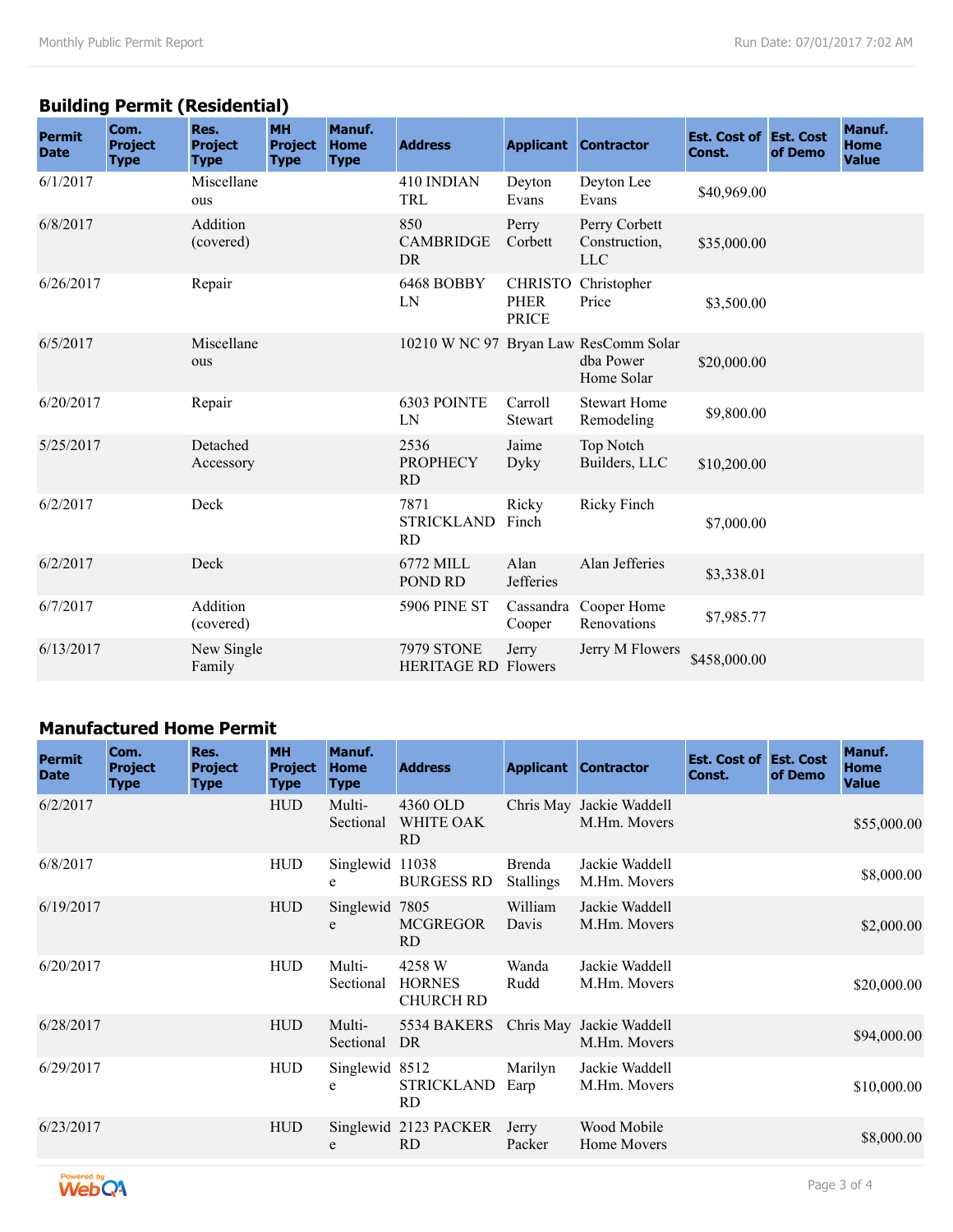## **Building Permit (Residential)**

| <b>Permit</b><br><b>Date</b> | Com.<br><b>Project</b><br><b>Type</b> | Res.<br><b>Project</b><br><b>Type</b> | <b>MH</b><br><b>Project</b><br><b>Type</b> | Manuf.<br><b>Home</b><br><b>Type</b> | <b>Address</b>                                  |                                               | <b>Applicant Contractor</b>                                      | <b>Est. Cost of Est. Cost</b><br>Const. | of Demo | Manuf.<br><b>Home</b><br><b>Value</b> |
|------------------------------|---------------------------------------|---------------------------------------|--------------------------------------------|--------------------------------------|-------------------------------------------------|-----------------------------------------------|------------------------------------------------------------------|-----------------------------------------|---------|---------------------------------------|
| 6/1/2017                     |                                       | Miscellane<br>ous                     |                                            |                                      | 410 INDIAN<br>TRL                               | Deyton<br>Evans                               | Deyton Lee<br>Evans                                              | \$40,969.00                             |         |                                       |
| 6/8/2017                     |                                       | Addition<br>(covered)                 |                                            |                                      | 850<br><b>CAMBRIDGE</b><br><b>DR</b>            | Perry<br>Corbett                              | Perry Corbett<br>Construction,<br><b>LLC</b>                     | \$35,000.00                             |         |                                       |
| 6/26/2017                    |                                       | Repair                                |                                            |                                      | 6468 BOBBY<br>LN                                | <b>CHRISTO</b><br><b>PHER</b><br><b>PRICE</b> | Christopher<br>Price                                             | \$3,500.00                              |         |                                       |
| 6/5/2017                     |                                       | Miscellane<br>ous                     |                                            |                                      |                                                 |                                               | 10210 W NC 97 Bryan Law ResComm Solar<br>dha Power<br>Home Solar | \$20,000.00                             |         |                                       |
| 6/20/2017                    |                                       | Repair                                |                                            |                                      | 6303 POINTE<br>LN                               | Carroll<br><b>Stewart</b>                     | <b>Stewart Home</b><br>Remodeling                                | \$9,800.00                              |         |                                       |
| 5/25/2017                    |                                       | Detached<br>Accessory                 |                                            |                                      | 2536<br><b>PROPHECY</b><br><b>RD</b>            | Jaime<br>Dyky                                 | Top Notch<br>Builders, LLC                                       | \$10,200.00                             |         |                                       |
| 6/2/2017                     |                                       | Deck                                  |                                            |                                      | 7871<br><b>STRICKLAND</b><br><b>RD</b>          | Ricky<br>Finch                                | Ricky Finch                                                      | \$7,000.00                              |         |                                       |
| 6/2/2017                     |                                       | Deck                                  |                                            |                                      | 6772 MILL<br>POND RD                            | Alan<br><b>Jefferies</b>                      | Alan Jefferies                                                   | \$3,338.01                              |         |                                       |
| 6/7/2017                     |                                       | Addition<br>(covered)                 |                                            |                                      | <b>5906 PINE ST</b>                             | Cassandra<br>Cooper                           | Cooper Home<br>Renovations                                       | \$7,985.77                              |         |                                       |
| 6/13/2017                    |                                       | New Single<br>Family                  |                                            |                                      | <b>7979 STONE</b><br><b>HERITAGE RD Flowers</b> | Jerry                                         | Jerry M Flowers                                                  | \$458,000.00                            |         |                                       |

#### **Manufactured Home Permit**

| <b>Permit</b><br><b>Date</b> | Com.<br><b>Project</b><br><b>Type</b> | Res.<br><b>Project</b><br><b>Type</b> | <b>MH</b><br><b>Project</b><br><b>Type</b> | Manuf.<br><b>Home</b><br><b>Type</b> | <b>Address</b>                              |                            | <b>Applicant Contractor</b>              | <b>Est. Cost of Est. Cost</b><br>Const. | of Demo | Manuf.<br>Home<br><b>Value</b> |
|------------------------------|---------------------------------------|---------------------------------------|--------------------------------------------|--------------------------------------|---------------------------------------------|----------------------------|------------------------------------------|-----------------------------------------|---------|--------------------------------|
| 6/2/2017                     |                                       |                                       | <b>HUD</b>                                 | Multi-<br>Sectional                  | 4360 OLD<br>WHITE OAK<br><b>RD</b>          |                            | Chris May Jackie Waddell<br>M.Hm. Movers |                                         |         | \$55,000.00                    |
| 6/8/2017                     |                                       |                                       | <b>HUD</b>                                 | Singlewid 11038<br>e                 | <b>BURGESS RD</b>                           | Brenda<br><b>Stallings</b> | Jackie Waddell<br>M.Hm. Movers           |                                         |         | \$8,000.00                     |
| 6/19/2017                    |                                       |                                       | <b>HUD</b>                                 | Singlewid 7805<br>e                  | <b>MCGREGOR</b><br>RD.                      | William<br>Davis           | Jackie Waddell<br>M.Hm. Movers           |                                         |         | \$2,000.00                     |
| 6/20/2017                    |                                       |                                       | <b>HUD</b>                                 | Multi-<br>Sectional                  | 4258 W<br><b>HORNES</b><br><b>CHURCH RD</b> | Wanda<br>Rudd              | Jackie Waddell<br>M.Hm. Movers           |                                         |         | \$20,000.00                    |
| 6/28/2017                    |                                       |                                       | <b>HUD</b>                                 | Multi-<br>Sectional                  | 5534 BAKERS Chris May Jackie Waddell<br>DR  |                            | M.Hm. Movers                             |                                         |         | \$94,000.00                    |
| 6/29/2017                    |                                       |                                       | <b>HUD</b>                                 | Singlewid 8512<br>e                  | STRICKLAND<br><b>RD</b>                     | Marilyn<br>Earp            | Jackie Waddell<br>M.Hm. Movers           |                                         |         | \$10,000.00                    |
| 6/23/2017                    |                                       |                                       | <b>HUD</b>                                 | e                                    | Singlewid 2123 PACKER<br><b>RD</b>          | Jerry<br>Packer            | Wood Mobile<br>Home Movers               |                                         |         | \$8,000.00                     |